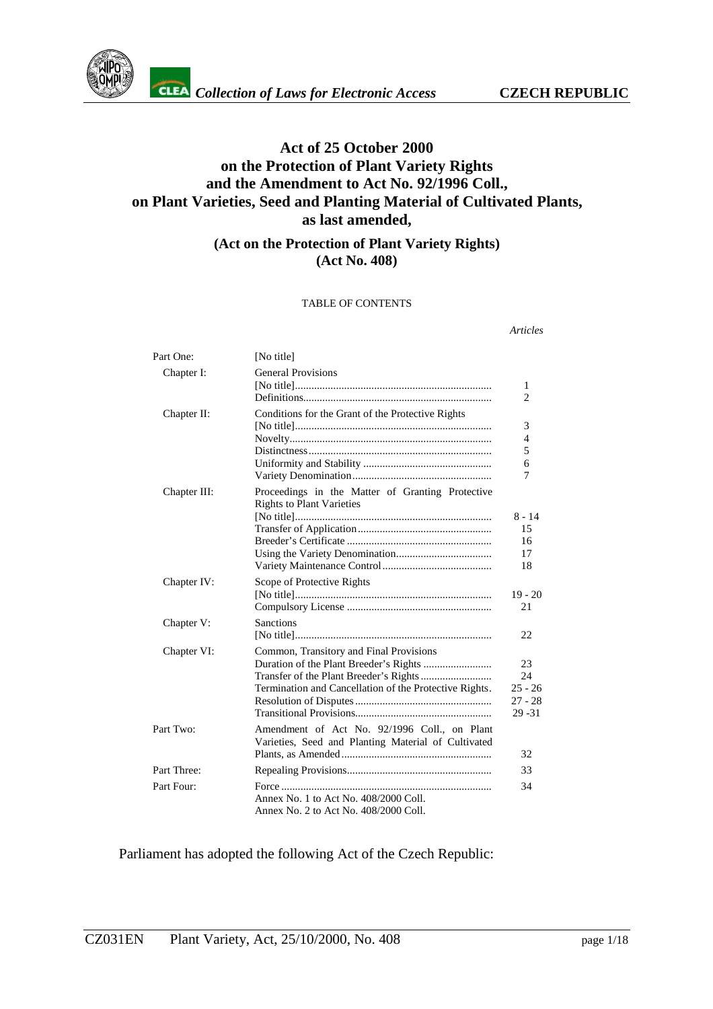

# **Act of 25 October 2000 on the Protection of Plant Variety Rights and the Amendment to Act No. 92/1996 Coll., on Plant Varieties, Seed and Planting Material of Cultivated Plants, as last amended,**

## **(Act on the Protection of Plant Variety Rights) (Act No. 408)**

#### TABLE OF CONTENTS

*Articles*

| Part One:    | [No title]                                                                                          |                                                 |
|--------------|-----------------------------------------------------------------------------------------------------|-------------------------------------------------|
| Chapter I:   | <b>General Provisions</b>                                                                           | 1<br>$\overline{2}$                             |
| Chapter II:  | Conditions for the Grant of the Protective Rights                                                   | 3<br>$\overline{4}$<br>5<br>6<br>7              |
| Chapter III: | Proceedings in the Matter of Granting Protective<br><b>Rights to Plant Varieties</b>                | $8 - 14$<br>15<br>16<br>17<br>18                |
| Chapter IV:  | Scope of Protective Rights                                                                          | $19 - 20$<br>21                                 |
| Chapter V:   | <b>Sanctions</b>                                                                                    | 22                                              |
| Chapter VI:  | Common, Transitory and Final Provisions<br>Termination and Cancellation of the Protective Rights.   | 23<br>24<br>$25 - 26$<br>$27 - 28$<br>$29 - 31$ |
| Part Two:    | Amendment of Act No. 92/1996 Coll., on Plant<br>Varieties, Seed and Planting Material of Cultivated | 32                                              |
| Part Three:  |                                                                                                     | 33                                              |
| Part Four:   |                                                                                                     | 34                                              |
|              | Annex No. 1 to Act No. 408/2000 Coll.<br>Annex No. 2 to Act No. 408/2000 Coll.                      |                                                 |

Parliament has adopted the following Act of the Czech Republic: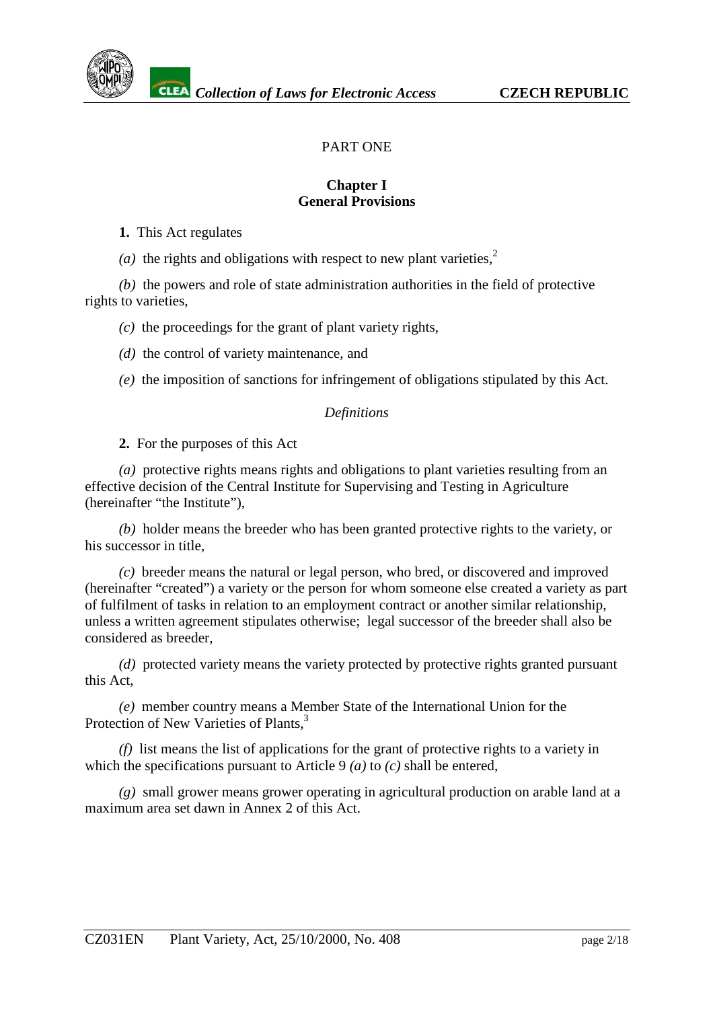

# PART ONE

#### **Chapter I General Provisions**

**1.** This Act regulates

(*a*) the rights and obligations with respect to new plant varieties,<sup>[2](#page-17-0)</sup>

*(b)* the powers and role of state administration authorities in the field of protective rights to varieties,

*(c)* the proceedings for the grant of plant variety rights,

*(d)* the control of variety maintenance, and

*(e)* the imposition of sanctions for infringement of obligations stipulated by this Act.

#### *Definitions*

**2.** For the purposes of this Act

*(a)* protective rights means rights and obligations to plant varieties resulting from an effective decision of the Central Institute for Supervising and Testing in Agriculture (hereinafter "the Institute"),

*(b)* holder means the breeder who has been granted protective rights to the variety, or his successor in title,

*(c)* breeder means the natural or legal person, who bred, or discovered and improved (hereinafter "created") a variety or the person for whom someone else created a variety as part of fulfilment of tasks in relation to an employment contract or another similar relationship, unless a written agreement stipulates otherwise; legal successor of the breeder shall also be considered as breeder,

*(d)* protected variety means the variety protected by protective rights granted pursuant this Act,

*(e)* member country means a Member State of the International Union for the Protection of New Varieties of Plants.<sup>[3](#page-17-0)</sup>

*(f)* list means the list of applications for the grant of protective rights to a variety in which the specifications pursuant to Article 9 *(a)* to *(c)* shall be entered,

*(g)* small grower means grower operating in agricultural production on arable land at a maximum area set dawn in Annex 2 of this Act.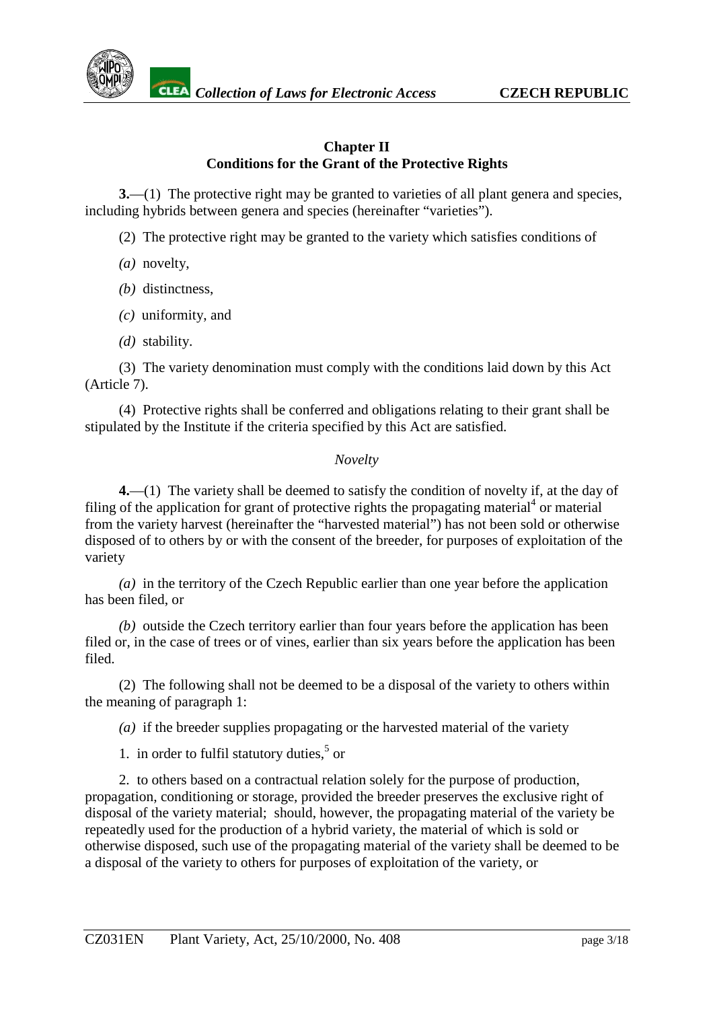

#### **Chapter II Conditions for the Grant of the Protective Rights**

**3.**—(1) The protective right may be granted to varieties of all plant genera and species, including hybrids between genera and species (hereinafter "varieties").

(2) The protective right may be granted to the variety which satisfies conditions of

- *(a)* novelty,
- *(b)* distinctness,
- *(c)* uniformity, and
- *(d)* stability.

(3) The variety denomination must comply with the conditions laid down by this Act (Article 7).

(4) Protective rights shall be conferred and obligations relating to their grant shall be stipulated by the Institute if the criteria specified by this Act are satisfied.

#### *Novelty*

**4.**—(1) The variety shall be deemed to satisfy the condition of novelty if, at the day of filing of the application for grant of protective rights the propagating material<sup>[4](#page-17-0)</sup> or material from the variety harvest (hereinafter the "harvested material") has not been sold or otherwise disposed of to others by or with the consent of the breeder, for purposes of exploitation of the variety

*(a)* in the territory of the Czech Republic earlier than one year before the application has been filed, or

*(b)* outside the Czech territory earlier than four years before the application has been filed or, in the case of trees or of vines, earlier than six years before the application has been filed.

(2) The following shall not be deemed to be a disposal of the variety to others within the meaning of paragraph 1:

*(a)* if the breeder supplies propagating or the harvested material of the variety

1. in order to fulfil statutory duties, $5$  or

2. to others based on a contractual relation solely for the purpose of production, propagation, conditioning or storage, provided the breeder preserves the exclusive right of disposal of the variety material; should, however, the propagating material of the variety be repeatedly used for the production of a hybrid variety, the material of which is sold or otherwise disposed, such use of the propagating material of the variety shall be deemed to be a disposal of the variety to others for purposes of exploitation of the variety, or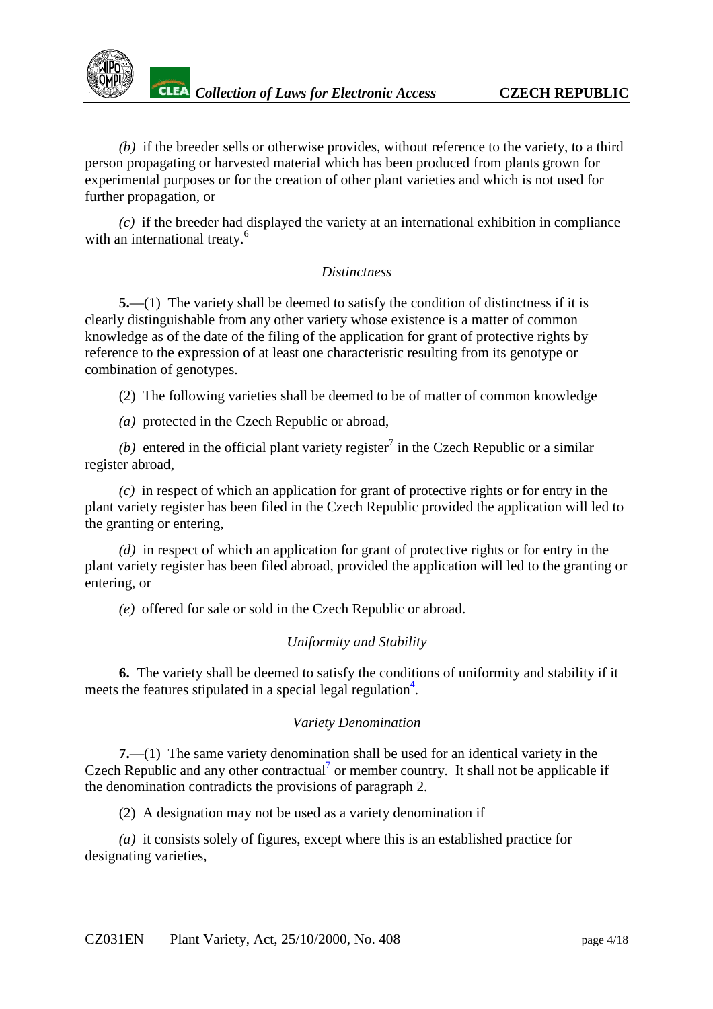

*(b)* if the breeder sells or otherwise provides, without reference to the variety, to a third person propagating or harvested material which has been produced from plants grown for experimental purposes or for the creation of other plant varieties and which is not used for further propagation, or

*(c)* if the breeder had displayed the variety at an international exhibition in compliance with an international treaty.<sup>[6](#page-17-0)</sup>

## *Distinctness*

**5.**—(1) The variety shall be deemed to satisfy the condition of distinctness if it is clearly distinguishable from any other variety whose existence is a matter of common knowledge as of the date of the filing of the application for grant of protective rights by reference to the expression of at least one characteristic resulting from its genotype or combination of genotypes.

(2) The following varieties shall be deemed to be of matter of common knowledge

*(a)* protected in the Czech Republic or abroad,

(b) entered in the official plant variety register<sup>[7](#page-17-0)</sup> in the Czech Republic or a similar register abroad,

*(c)* in respect of which an application for grant of protective rights or for entry in the plant variety register has been filed in the Czech Republic provided the application will led to the granting or entering,

*(d)* in respect of which an application for grant of protective rights or for entry in the plant variety register has been filed abroad, provided the application will led to the granting or entering, or

*(e)* offered for sale or sold in the Czech Republic or abroad.

## *Uniformity and Stability*

**6.** The variety shall be deemed to satisfy the conditions of uniformity and stability if it meets the features stipulated in a special legal regulation<sup>4</sup>.

## *Variety Denomination*

**7.**—(1) The same variety denomination shall be used for an identical variety in the Czech Republic and any other contractual<sup>7</sup> or member country. It shall not be applicable if the denomination contradicts the provisions of paragraph 2.

(2) A designation may not be used as a variety denomination if

*(a)* it consists solely of figures, except where this is an established practice for designating varieties,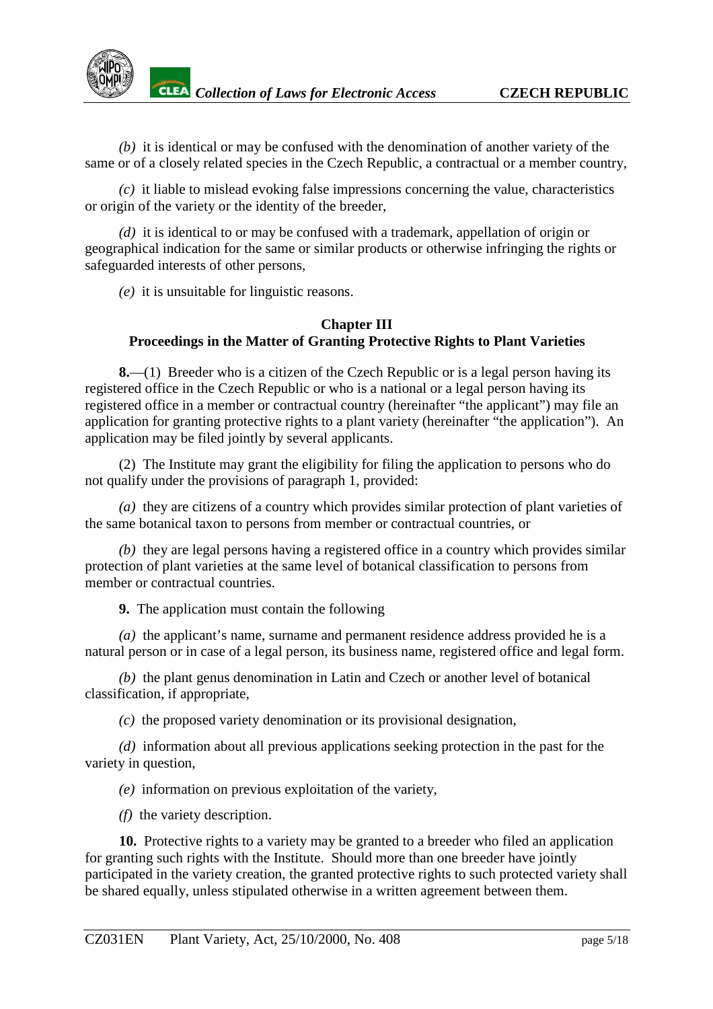*(b)* it is identical or may be confused with the denomination of another variety of the same or of a closely related species in the Czech Republic, a contractual or a member country,

*(c)* it liable to mislead evoking false impressions concerning the value, characteristics or origin of the variety or the identity of the breeder,

*(d)* it is identical to or may be confused with a trademark, appellation of origin or geographical indication for the same or similar products or otherwise infringing the rights or safeguarded interests of other persons,

*(e)* it is unsuitable for linguistic reasons.

#### **Chapter III Proceedings in the Matter of Granting Protective Rights to Plant Varieties**

**8.**—(1) Breeder who is a citizen of the Czech Republic or is a legal person having its registered office in the Czech Republic or who is a national or a legal person having its registered office in a member or contractual country (hereinafter "the applicant") may file an application for granting protective rights to a plant variety (hereinafter "the application"). An application may be filed jointly by several applicants.

(2) The Institute may grant the eligibility for filing the application to persons who do not qualify under the provisions of paragraph 1, provided:

*(a)* they are citizens of a country which provides similar protection of plant varieties of the same botanical taxon to persons from member or contractual countries, or

*(b)* they are legal persons having a registered office in a country which provides similar protection of plant varieties at the same level of botanical classification to persons from member or contractual countries.

**9.** The application must contain the following

*(a)* the applicant's name, surname and permanent residence address provided he is a natural person or in case of a legal person, its business name, registered office and legal form.

*(b)* the plant genus denomination in Latin and Czech or another level of botanical classification, if appropriate,

*(c)* the proposed variety denomination or its provisional designation,

*(d)* information about all previous applications seeking protection in the past for the variety in question,

*(e)* information on previous exploitation of the variety,

*(f)* the variety description.

**10.** Protective rights to a variety may be granted to a breeder who filed an application for granting such rights with the Institute. Should more than one breeder have jointly participated in the variety creation, the granted protective rights to such protected variety shall be shared equally, unless stipulated otherwise in a written agreement between them.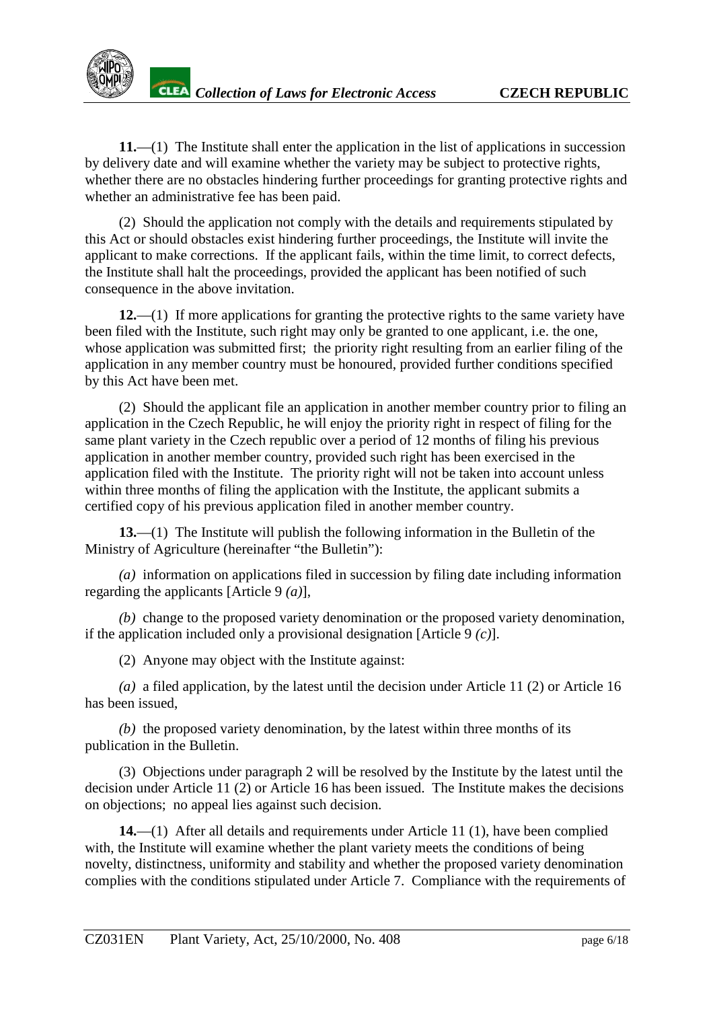**11.**—(1) The Institute shall enter the application in the list of applications in succession by delivery date and will examine whether the variety may be subject to protective rights, whether there are no obstacles hindering further proceedings for granting protective rights and whether an administrative fee has been paid.

(2) Should the application not comply with the details and requirements stipulated by this Act or should obstacles exist hindering further proceedings, the Institute will invite the applicant to make corrections. If the applicant fails, within the time limit, to correct defects, the Institute shall halt the proceedings, provided the applicant has been notified of such consequence in the above invitation.

**12.**—(1) If more applications for granting the protective rights to the same variety have been filed with the Institute, such right may only be granted to one applicant, i.e. the one, whose application was submitted first; the priority right resulting from an earlier filing of the application in any member country must be honoured, provided further conditions specified by this Act have been met.

(2) Should the applicant file an application in another member country prior to filing an application in the Czech Republic, he will enjoy the priority right in respect of filing for the same plant variety in the Czech republic over a period of 12 months of filing his previous application in another member country, provided such right has been exercised in the application filed with the Institute. The priority right will not be taken into account unless within three months of filing the application with the Institute, the applicant submits a certified copy of his previous application filed in another member country.

**13.**—(1) The Institute will publish the following information in the Bulletin of the Ministry of Agriculture (hereinafter "the Bulletin"):

*(a)* information on applications filed in succession by filing date including information regarding the applicants [Article 9 *(a)*],

*(b)* change to the proposed variety denomination or the proposed variety denomination, if the application included only a provisional designation [Article 9 *(c)*].

(2) Anyone may object with the Institute against:

*(a)* a filed application, by the latest until the decision under Article 11 (2) or Article 16 has been issued,

*(b)* the proposed variety denomination, by the latest within three months of its publication in the Bulletin.

(3) Objections under paragraph 2 will be resolved by the Institute by the latest until the decision under Article 11 (2) or Article 16 has been issued. The Institute makes the decisions on objections; no appeal lies against such decision.

**14.**—(1) After all details and requirements under Article 11 (1), have been complied with, the Institute will examine whether the plant variety meets the conditions of being novelty, distinctness, uniformity and stability and whether the proposed variety denomination complies with the conditions stipulated under Article 7. Compliance with the requirements of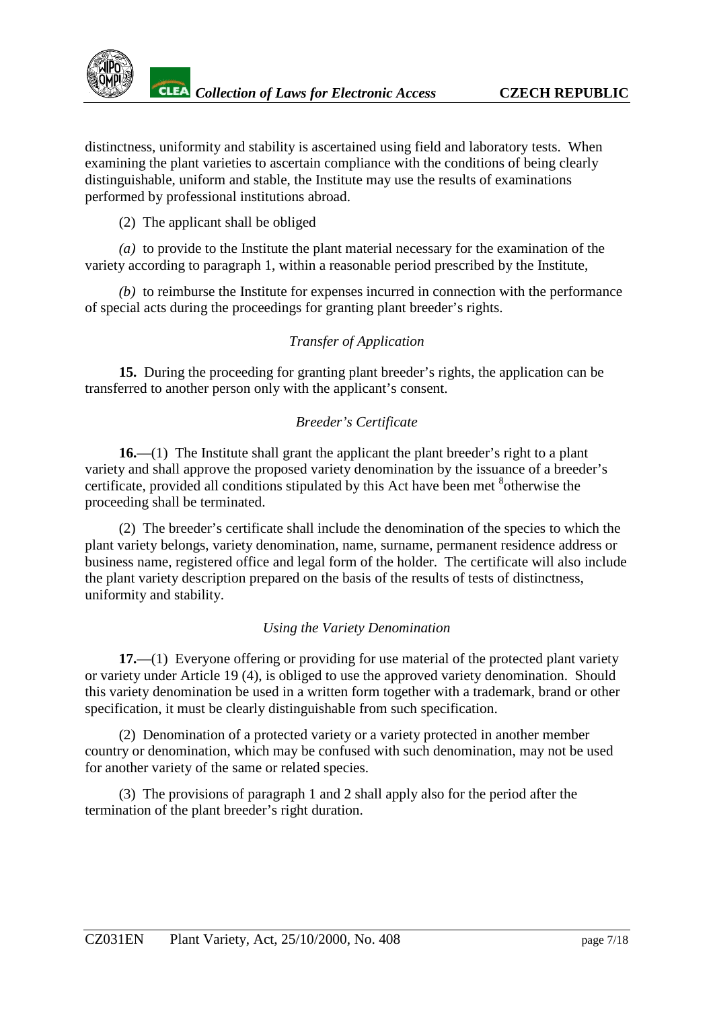distinctness, uniformity and stability is ascertained using field and laboratory tests. When examining the plant varieties to ascertain compliance with the conditions of being clearly distinguishable, uniform and stable, the Institute may use the results of examinations performed by professional institutions abroad.

## (2) The applicant shall be obliged

*(a)* to provide to the Institute the plant material necessary for the examination of the variety according to paragraph 1, within a reasonable period prescribed by the Institute,

*(b)* to reimburse the Institute for expenses incurred in connection with the performance of special acts during the proceedings for granting plant breeder's rights.

## *Transfer of Application*

**15.** During the proceeding for granting plant breeder's rights, the application can be transferred to another person only with the applicant's consent.

## *Breeder's Certificate*

**16.**—(1) The Institute shall grant the applicant the plant breeder's right to a plant variety and shall approve the proposed variety denomination by the issuance of a breeder's certificate, provided all conditions stipulated by this Act have been met <sup>[8](#page-17-0)</sup>otherwise the proceeding shall be terminated.

(2) The breeder's certificate shall include the denomination of the species to which the plant variety belongs, variety denomination, name, surname, permanent residence address or business name, registered office and legal form of the holder. The certificate will also include the plant variety description prepared on the basis of the results of tests of distinctness, uniformity and stability.

## *Using the Variety Denomination*

**17.**—(1) Everyone offering or providing for use material of the protected plant variety or variety under Article 19 (4), is obliged to use the approved variety denomination. Should this variety denomination be used in a written form together with a trademark, brand or other specification, it must be clearly distinguishable from such specification.

(2) Denomination of a protected variety or a variety protected in another member country or denomination, which may be confused with such denomination, may not be used for another variety of the same or related species.

(3) The provisions of paragraph 1 and 2 shall apply also for the period after the termination of the plant breeder's right duration.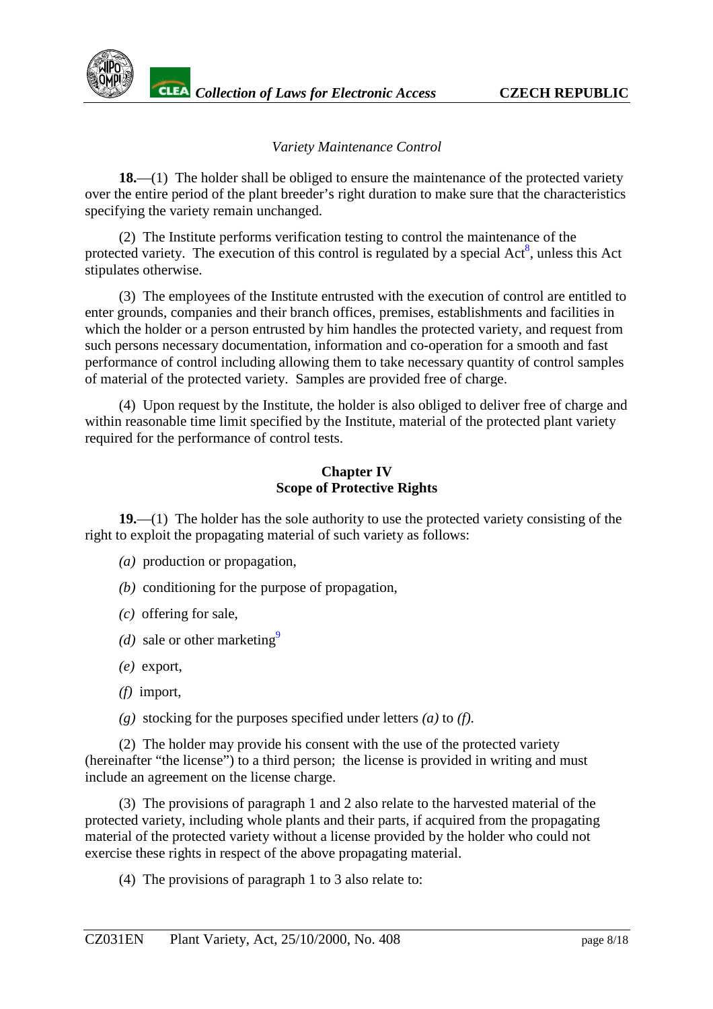

## *Variety Maintenance Control*

**18.**—(1) The holder shall be obliged to ensure the maintenance of the protected variety over the entire period of the plant breeder's right duration to make sure that the characteristics specifying the variety remain unchanged.

(2) The Institute performs verification testing to control the maintenance of the protected variety. The execution of this control is regulated by a special  $Act^8$ , unless this Act stipulates otherwise.

(3) The employees of the Institute entrusted with the execution of control are entitled to enter grounds, companies and their branch offices, premises, establishments and facilities in which the holder or a person entrusted by him handles the protected variety, and request from such persons necessary documentation, information and co-operation for a smooth and fast performance of control including allowing them to take necessary quantity of control samples of material of the protected variety. Samples are provided free of charge.

(4) Upon request by the Institute, the holder is also obliged to deliver free of charge and within reasonable time limit specified by the Institute, material of the protected plant variety required for the performance of control tests.

#### **Chapter IV Scope of Protective Rights**

**19.**—(1) The holder has the sole authority to use the protected variety consisting of the right to exploit the propagating material of such variety as follows:

- *(a)* production or propagation,
- *(b)* conditioning for the purpose of propagation,
- *(c)* offering for sale,
- (*d*) sale or other marketing<sup>9</sup>
- *(e)* export,
- *(f)* import,
- *(g)* stocking for the purposes specified under letters *(a)* to *(f)*.

(2) The holder may provide his consent with the use of the protected variety (hereinafter "the license") to a third person; the license is provided in writing and must include an agreement on the license charge.

(3) The provisions of paragraph 1 and 2 also relate to the harvested material of the protected variety, including whole plants and their parts, if acquired from the propagating material of the protected variety without a license provided by the holder who could not exercise these rights in respect of the above propagating material.

(4) The provisions of paragraph 1 to 3 also relate to: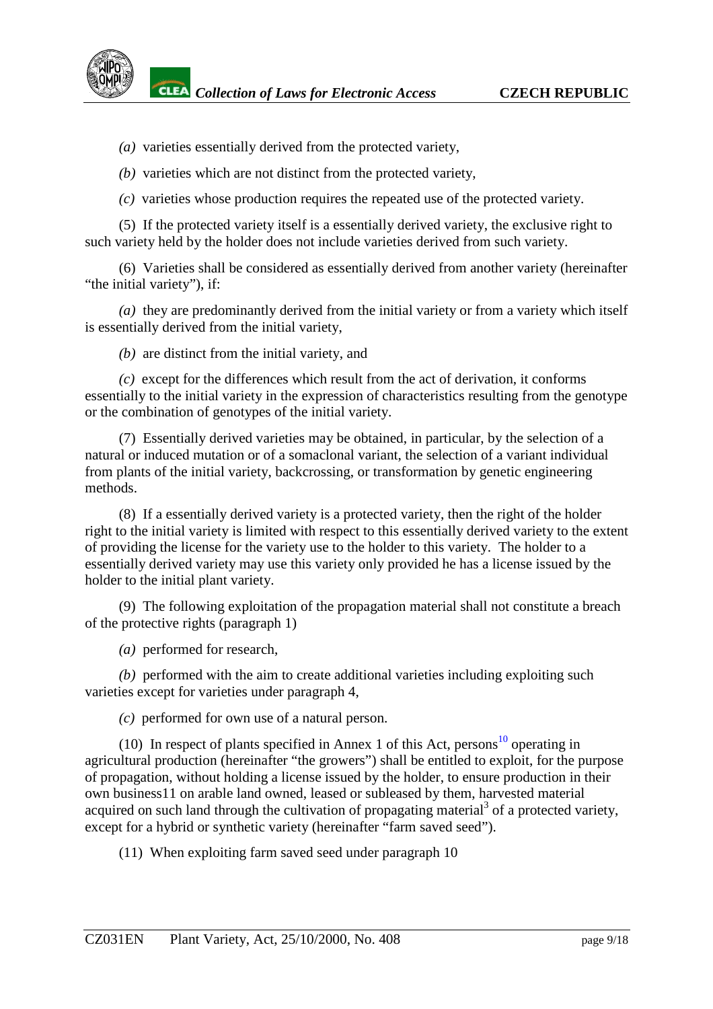- *(a)* varieties essentially derived from the protected variety,
- *(b)* varieties which are not distinct from the protected variety,
- *(c)* varieties whose production requires the repeated use of the protected variety.

(5) If the protected variety itself is a essentially derived variety, the exclusive right to such variety held by the holder does not include varieties derived from such variety.

(6) Varieties shall be considered as essentially derived from another variety (hereinafter "the initial variety"), if:

*(a)* they are predominantly derived from the initial variety or from a variety which itself is essentially derived from the initial variety,

*(b)* are distinct from the initial variety, and

*(c)* except for the differences which result from the act of derivation, it conforms essentially to the initial variety in the expression of characteristics resulting from the genotype or the combination of genotypes of the initial variety.

(7) Essentially derived varieties may be obtained, in particular, by the selection of a natural or induced mutation or of a somaclonal variant, the selection of a variant individual from plants of the initial variety, backcrossing, or transformation by genetic engineering methods.

(8) If a essentially derived variety is a protected variety, then the right of the holder right to the initial variety is limited with respect to this essentially derived variety to the extent of providing the license for the variety use to the holder to this variety. The holder to a essentially derived variety may use this variety only provided he has a license issued by the holder to the initial plant variety.

(9) The following exploitation of the propagation material shall not constitute a breach of the protective rights (paragraph 1)

*(a)* performed for research,

*(b)* performed with the aim to create additional varieties including exploiting such varieties except for varieties under paragraph 4,

*(c)* performed for own use of a natural person.

(10) In respect of plants specified in Annex 1 of this Act, persons<sup>10</sup> operating in agricultural production (hereinafter "the growers") shall be entitled to exploit, for the purpose of propagation, without holding a license issued by the holder, to ensure production in their own business[11](#page-17-0) on arable land owned, leased or subleased by them, harvested material acquired on such land through the cultivation of propagating material<sup>3</sup> of a protected variety, except for a hybrid or synthetic variety (hereinafter "farm saved seed").

(11) When exploiting farm saved seed under paragraph 10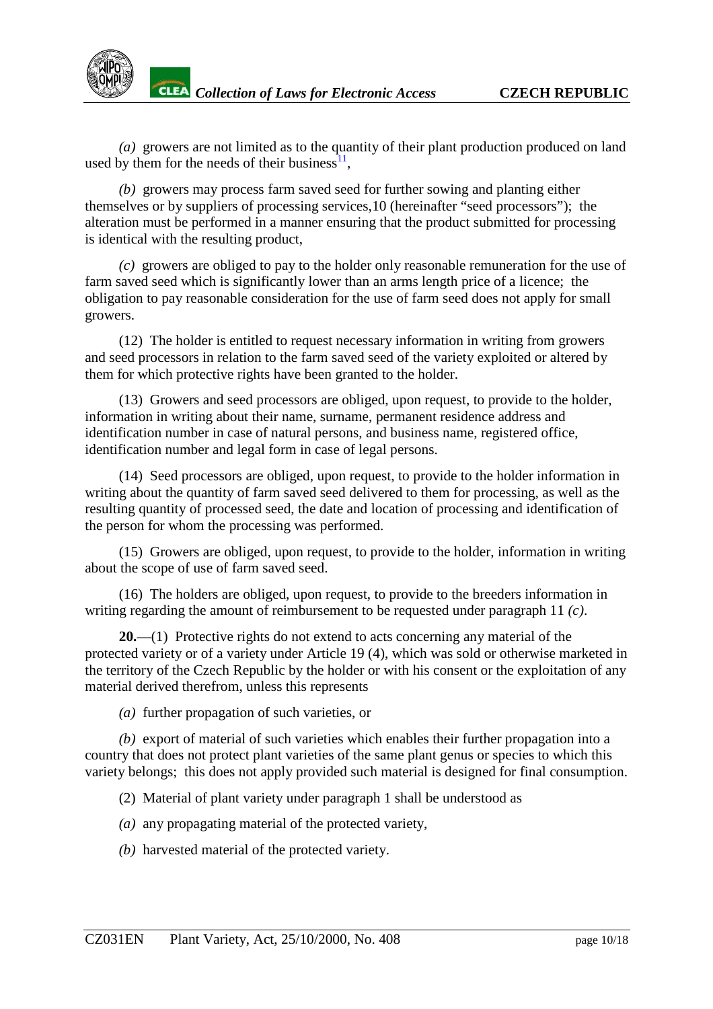

*<u>ZEEA Collection of Laws for Electronic Access* **CZECH REPUBLIC**</u>

*(a)* growers are not limited as to the quantity of their plant production produced on land used by them for the needs of their business $1, 1$ ,

*(b)* growers may process farm saved seed for further sowing and planting either themselves or by suppliers of processing services,[10](#page-17-0) (hereinafter "seed processors"); the alteration must be performed in a manner ensuring that the product submitted for processing is identical with the resulting product,

*(c)* growers are obliged to pay to the holder only reasonable remuneration for the use of farm saved seed which is significantly lower than an arms length price of a licence; the obligation to pay reasonable consideration for the use of farm seed does not apply for small growers.

(12) The holder is entitled to request necessary information in writing from growers and seed processors in relation to the farm saved seed of the variety exploited or altered by them for which protective rights have been granted to the holder.

(13) Growers and seed processors are obliged, upon request, to provide to the holder, information in writing about their name, surname, permanent residence address and identification number in case of natural persons, and business name, registered office, identification number and legal form in case of legal persons.

(14) Seed processors are obliged, upon request, to provide to the holder information in writing about the quantity of farm saved seed delivered to them for processing, as well as the resulting quantity of processed seed, the date and location of processing and identification of the person for whom the processing was performed.

(15) Growers are obliged, upon request, to provide to the holder, information in writing about the scope of use of farm saved seed.

(16) The holders are obliged, upon request, to provide to the breeders information in writing regarding the amount of reimbursement to be requested under paragraph 11 *(c)*.

**20.**—(1) Protective rights do not extend to acts concerning any material of the protected variety or of a variety under Article 19 (4), which was sold or otherwise marketed in the territory of the Czech Republic by the holder or with his consent or the exploitation of any material derived therefrom, unless this represents

*(a)* further propagation of such varieties, or

*(b)* export of material of such varieties which enables their further propagation into a country that does not protect plant varieties of the same plant genus or species to which this variety belongs; this does not apply provided such material is designed for final consumption.

(2) Material of plant variety under paragraph 1 shall be understood as

*(a)* any propagating material of the protected variety,

*(b)* harvested material of the protected variety.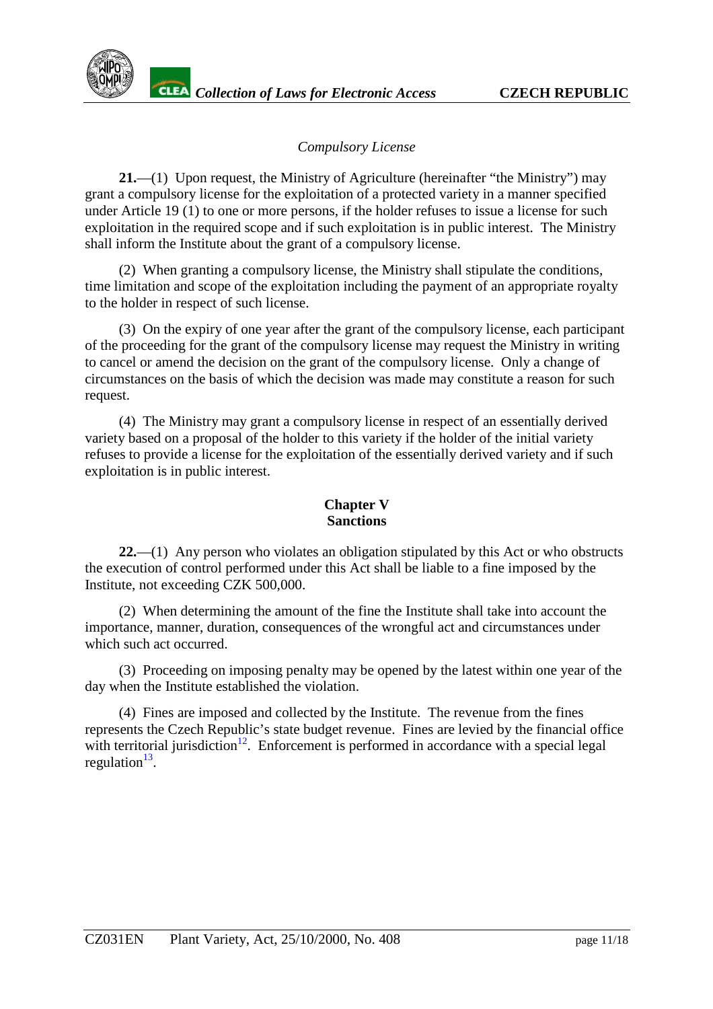

## *Compulsory License*

**21.**—(1) Upon request, the Ministry of Agriculture (hereinafter "the Ministry") may grant a compulsory license for the exploitation of a protected variety in a manner specified under Article 19 (1) to one or more persons, if the holder refuses to issue a license for such exploitation in the required scope and if such exploitation is in public interest. The Ministry shall inform the Institute about the grant of a compulsory license.

(2) When granting a compulsory license, the Ministry shall stipulate the conditions, time limitation and scope of the exploitation including the payment of an appropriate royalty to the holder in respect of such license.

(3) On the expiry of one year after the grant of the compulsory license, each participant of the proceeding for the grant of the compulsory license may request the Ministry in writing to cancel or amend the decision on the grant of the compulsory license. Only a change of circumstances on the basis of which the decision was made may constitute a reason for such request.

(4) The Ministry may grant a compulsory license in respect of an essentially derived variety based on a proposal of the holder to this variety if the holder of the initial variety refuses to provide a license for the exploitation of the essentially derived variety and if such exploitation is in public interest.

#### **Chapter V Sanctions**

**22.**—(1) Any person who violates an obligation stipulated by this Act or who obstructs the execution of control performed under this Act shall be liable to a fine imposed by the Institute, not exceeding CZK 500,000.

(2) When determining the amount of the fine the Institute shall take into account the importance, manner, duration, consequences of the wrongful act and circumstances under which such act occurred.

(3) Proceeding on imposing penalty may be opened by the latest within one year of the day when the Institute established the violation.

(4) Fines are imposed and collected by the Institute. The revenue from the fines represents the Czech Republic's state budget revenue. Fines are levied by the financial office with territorial jurisdiction<sup>12</sup>. Enforcement is performed in accordance with a special legal regulation $13$ .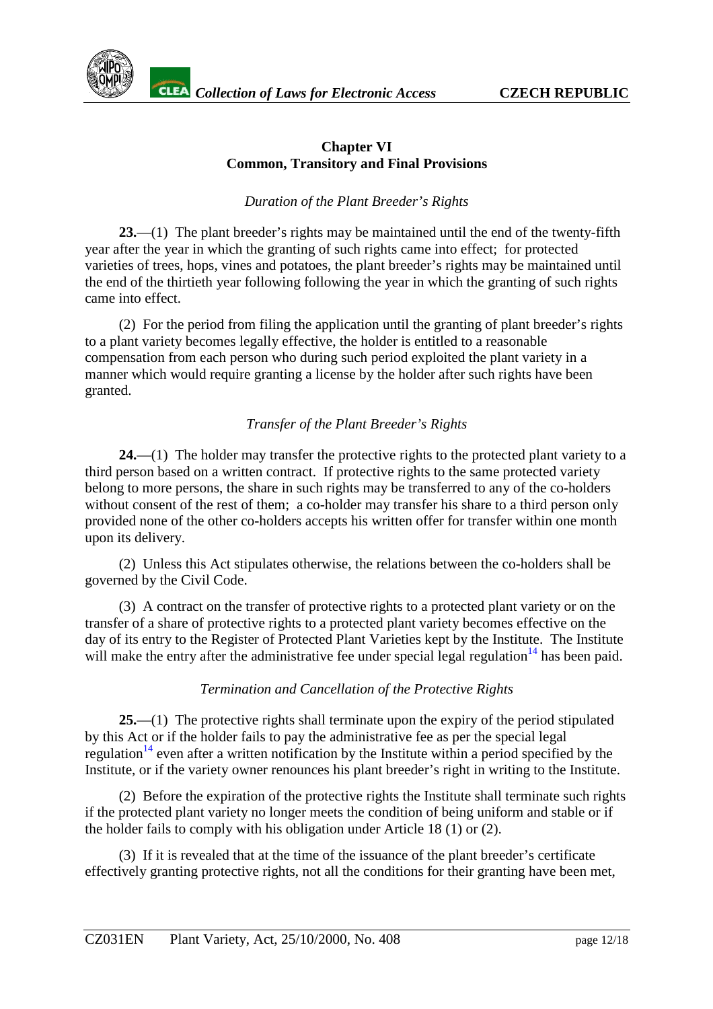## **Chapter VI Common, Transitory and Final Provisions**

## *Duration of the Plant Breeder's Rights*

**23.**—(1) The plant breeder's rights may be maintained until the end of the twenty-fifth year after the year in which the granting of such rights came into effect; for protected varieties of trees, hops, vines and potatoes, the plant breeder's rights may be maintained until the end of the thirtieth year following following the year in which the granting of such rights came into effect.

(2) For the period from filing the application until the granting of plant breeder's rights to a plant variety becomes legally effective, the holder is entitled to a reasonable compensation from each person who during such period exploited the plant variety in a manner which would require granting a license by the holder after such rights have been granted.

## *Transfer of the Plant Breeder's Rights*

**24.**—(1) The holder may transfer the protective rights to the protected plant variety to a third person based on a written contract. If protective rights to the same protected variety belong to more persons, the share in such rights may be transferred to any of the co-holders without consent of the rest of them; a co-holder may transfer his share to a third person only provided none of the other co-holders accepts his written offer for transfer within one month upon its delivery.

(2) Unless this Act stipulates otherwise, the relations between the co-holders shall be governed by the Civil Code.

(3) A contract on the transfer of protective rights to a protected plant variety or on the transfer of a share of protective rights to a protected plant variety becomes effective on the day of its entry to the Register of Protected Plant Varieties kept by the Institute. The Institute will make the entry after the administrative fee under special legal regulation<sup>14</sup> has been paid.

## *Termination and Cancellation of the Protective Rights*

**25.**—(1) The protective rights shall terminate upon the expiry of the period stipulated by this Act or if the holder fails to pay the administrative fee as per the special legal regulation<sup>14</sup> even after a written notification by the Institute within a period specified by the Institute, or if the variety owner renounces his plant breeder's right in writing to the Institute.

(2) Before the expiration of the protective rights the Institute shall terminate such rights if the protected plant variety no longer meets the condition of being uniform and stable or if the holder fails to comply with his obligation under Article 18 (1) or (2).

(3) If it is revealed that at the time of the issuance of the plant breeder's certificate effectively granting protective rights, not all the conditions for their granting have been met,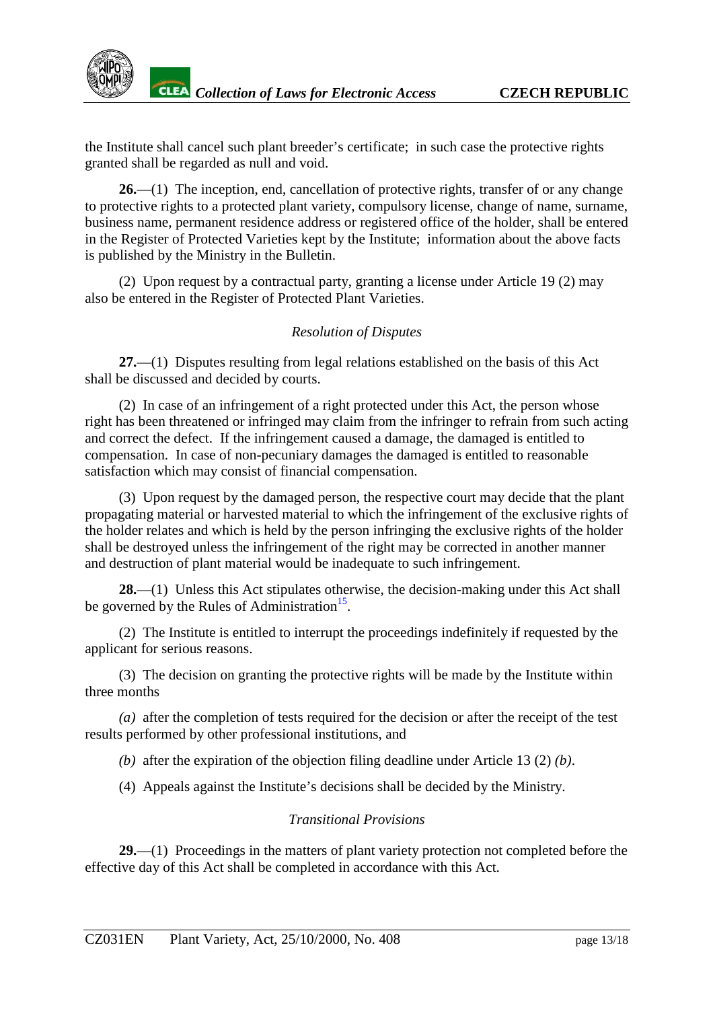

**26.**—(1) The inception, end, cancellation of protective rights, transfer of or any change to protective rights to a protected plant variety, compulsory license, change of name, surname, business name, permanent residence address or registered office of the holder, shall be entered in the Register of Protected Varieties kept by the Institute; information about the above facts is published by the Ministry in the Bulletin.

(2) Upon request by a contractual party, granting a license under Article 19 (2) may also be entered in the Register of Protected Plant Varieties.

#### *Resolution of Disputes*

**27.**—(1) Disputes resulting from legal relations established on the basis of this Act shall be discussed and decided by courts.

(2) In case of an infringement of a right protected under this Act, the person whose right has been threatened or infringed may claim from the infringer to refrain from such acting and correct the defect. If the infringement caused a damage, the damaged is entitled to compensation. In case of non-pecuniary damages the damaged is entitled to reasonable satisfaction which may consist of financial compensation.

(3) Upon request by the damaged person, the respective court may decide that the plant propagating material or harvested material to which the infringement of the exclusive rights of the holder relates and which is held by the person infringing the exclusive rights of the holder shall be destroyed unless the infringement of the right may be corrected in another manner and destruction of plant material would be inadequate to such infringement.

**28.**—(1) Unless this Act stipulates otherwise, the decision-making under this Act shall be governed by the Rules of Administration<sup>15</sup>.

(2) The Institute is entitled to interrupt the proceedings indefinitely if requested by the applicant for serious reasons.

(3) The decision on granting the protective rights will be made by the Institute within three months

*(a)* after the completion of tests required for the decision or after the receipt of the test results performed by other professional institutions, and

*(b)* after the expiration of the objection filing deadline under Article 13 (2) *(b)*.

(4) Appeals against the Institute's decisions shall be decided by the Ministry.

## *Transitional Provisions*

**29.**—(1) Proceedings in the matters of plant variety protection not completed before the effective day of this Act shall be completed in accordance with this Act.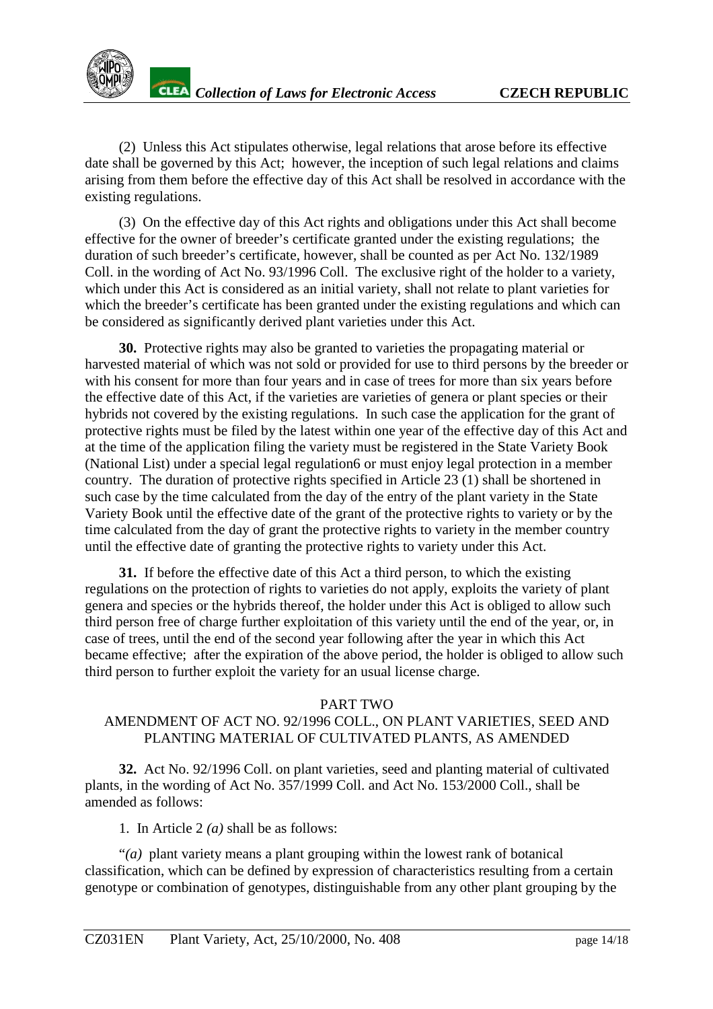(2) Unless this Act stipulates otherwise, legal relations that arose before its effective date shall be governed by this Act; however, the inception of such legal relations and claims arising from them before the effective day of this Act shall be resolved in accordance with the existing regulations.

(3) On the effective day of this Act rights and obligations under this Act shall become effective for the owner of breeder's certificate granted under the existing regulations; the duration of such breeder's certificate, however, shall be counted as per Act No. 132/1989 Coll. in the wording of Act No. 93/1996 Coll. The exclusive right of the holder to a variety, which under this Act is considered as an initial variety, shall not relate to plant varieties for which the breeder's certificate has been granted under the existing regulations and which can be considered as significantly derived plant varieties under this Act.

**30.** Protective rights may also be granted to varieties the propagating material or harvested material of which was not sold or provided for use to third persons by the breeder or with his consent for more than four years and in case of trees for more than six years before the effective date of this Act, if the varieties are varieties of genera or plant species or their hybrids not covered by the existing regulations. In such case the application for the grant of protective rights must be filed by the latest within one year of the effective day of this Act and at the time of the application filing the variety must be registered in the State Variety Book (National List) under a special legal regulation[6](#page-17-0) or must enjoy legal protection in a member country. The duration of protective rights specified in Article 23 (1) shall be shortened in such case by the time calculated from the day of the entry of the plant variety in the State Variety Book until the effective date of the grant of the protective rights to variety or by the time calculated from the day of grant the protective rights to variety in the member country until the effective date of granting the protective rights to variety under this Act.

**31.** If before the effective date of this Act a third person, to which the existing regulations on the protection of rights to varieties do not apply, exploits the variety of plant genera and species or the hybrids thereof, the holder under this Act is obliged to allow such third person free of charge further exploitation of this variety until the end of the year, or, in case of trees, until the end of the second year following after the year in which this Act became effective; after the expiration of the above period, the holder is obliged to allow such third person to further exploit the variety for an usual license charge.

#### PART TWO

## AMENDMENT OF ACT NO. 92/1996 COLL., ON PLANT VARIETIES, SEED AND PLANTING MATERIAL OF CULTIVATED PLANTS, AS AMENDED

**32.** Act No. 92/1996 Coll. on plant varieties, seed and planting material of cultivated plants, in the wording of Act No. 357/1999 Coll. and Act No. 153/2000 Coll., shall be amended as follows:

1. In Article 2 *(a)* shall be as follows:

"*(a)* plant variety means a plant grouping within the lowest rank of botanical classification, which can be defined by expression of characteristics resulting from a certain genotype or combination of genotypes, distinguishable from any other plant grouping by the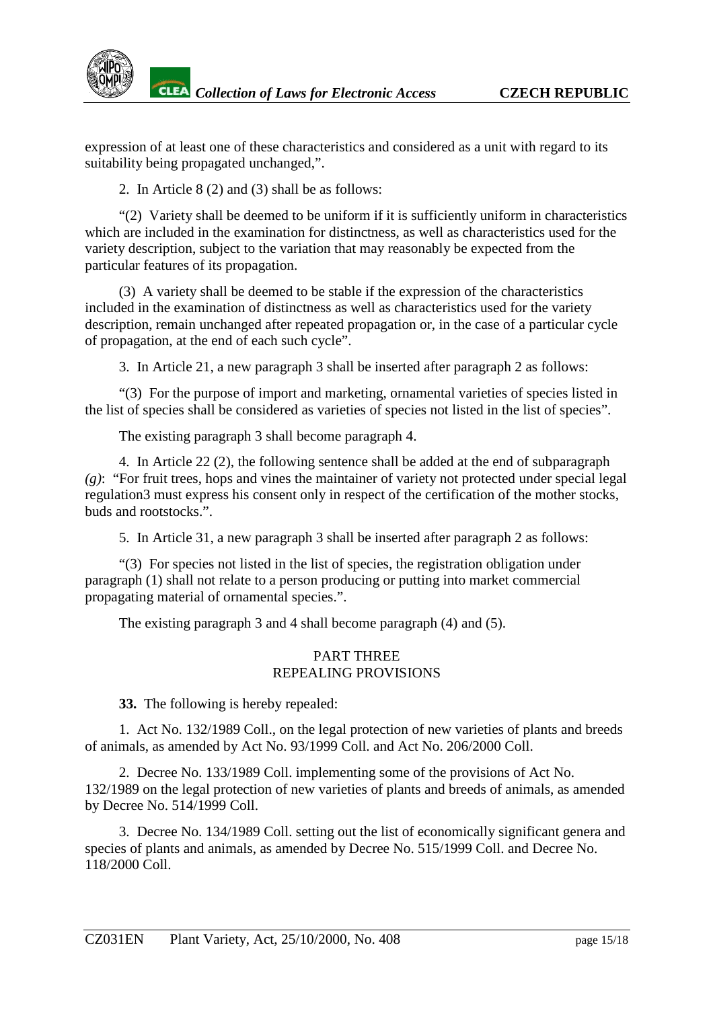expression of at least one of these characteristics and considered as a unit with regard to its suitability being propagated unchanged,".

2. In Article 8 (2) and (3) shall be as follows:

"(2) Variety shall be deemed to be uniform if it is sufficiently uniform in characteristics which are included in the examination for distinctness, as well as characteristics used for the variety description, subject to the variation that may reasonably be expected from the particular features of its propagation.

(3) A variety shall be deemed to be stable if the expression of the characteristics included in the examination of distinctness as well as characteristics used for the variety description, remain unchanged after repeated propagation or, in the case of a particular cycle of propagation, at the end of each such cycle".

3. In Article 21, a new paragraph 3 shall be inserted after paragraph 2 as follows:

"(3) For the purpose of import and marketing, ornamental varieties of species listed in the list of species shall be considered as varieties of species not listed in the list of species".

The existing paragraph 3 shall become paragraph 4.

4. In Article 22 (2), the following sentence shall be added at the end of subparagraph *(g)*: "For fruit trees, hops and vines the maintainer of variety not protected under special legal regulatio[n3](#page-17-0) must express his consent only in respect of the certification of the mother stocks, buds and rootstocks.".

5. In Article 31, a new paragraph 3 shall be inserted after paragraph 2 as follows:

"(3) For species not listed in the list of species, the registration obligation under paragraph (1) shall not relate to a person producing or putting into market commercial propagating material of ornamental species.".

The existing paragraph 3 and 4 shall become paragraph (4) and (5).

#### PART THREE REPEALING PROVISIONS

**33.** The following is hereby repealed:

1. Act No. 132/1989 Coll., on the legal protection of new varieties of plants and breeds of animals, as amended by Act No. 93/1999 Coll. and Act No. 206/2000 Coll.

2. Decree No. 133/1989 Coll. implementing some of the provisions of Act No. 132/1989 on the legal protection of new varieties of plants and breeds of animals, as amended by Decree No. 514/1999 Coll.

3. Decree No. 134/1989 Coll. setting out the list of economically significant genera and species of plants and animals, as amended by Decree No. 515/1999 Coll. and Decree No. 118/2000 Coll.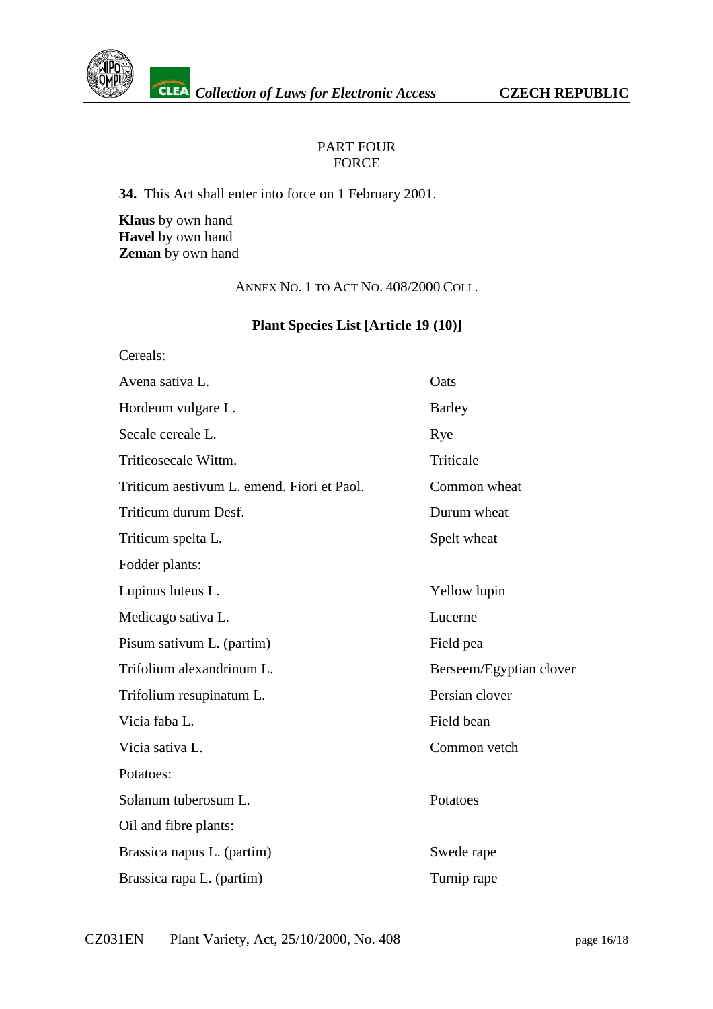

## PART FOUR FORCE

**34.** This Act shall enter into force on 1 February 2001.

**Klaus** by own hand **Havel** by own hand **Zem**a**n** by own hand

ANNEX NO. 1 TO ACT NO. 408/2000 COLL.

# **Plant Species List [Article 19 (10)]**

| Cereals:                                   |                         |  |
|--------------------------------------------|-------------------------|--|
| Avena sativa L.                            | Oats                    |  |
| Hordeum vulgare L.                         | <b>Barley</b>           |  |
| Secale cereale L.                          | Rye                     |  |
| Triticosecale Wittm.                       | Triticale               |  |
| Triticum aestivum L. emend. Fiori et Paol. | Common wheat            |  |
| Triticum durum Desf.                       | Durum wheat             |  |
| Triticum spelta L.                         | Spelt wheat             |  |
| Fodder plants:                             |                         |  |
| Lupinus luteus L.                          | Yellow lupin            |  |
| Medicago sativa L.                         | Lucerne                 |  |
| Pisum sativum L. (partim)                  | Field pea               |  |
| Trifolium alexandrinum L.                  | Berseem/Egyptian clover |  |
| Trifolium resupinatum L.                   | Persian clover          |  |
| Vicia faba L.                              | Field bean              |  |
| Vicia sativa L.                            | Common vetch            |  |
| Potatoes:                                  |                         |  |
| Solanum tuberosum L.                       | Potatoes                |  |
| Oil and fibre plants:                      |                         |  |
| Brassica napus L. (partim)                 | Swede rape              |  |
| Brassica rapa L. (partim)                  | Turnip rape             |  |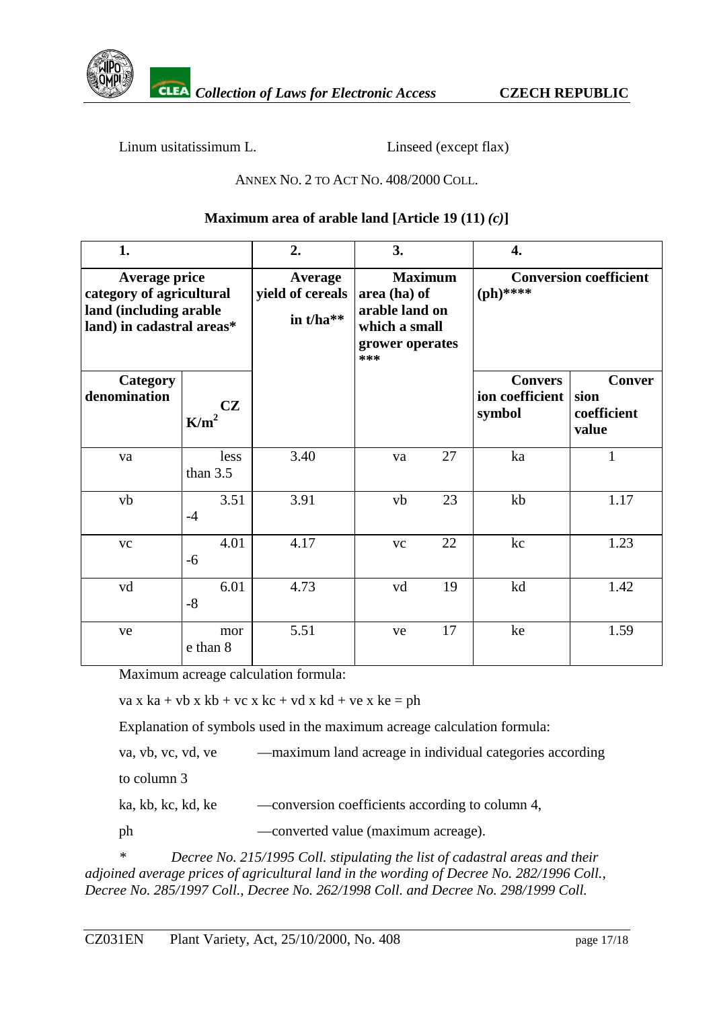

Linum usitatissimum L. Linseed (except flax)

## ANNEX NO. 2 TO ACT NO. 408/2000 COLL.

## **Maximum area of arable land [Article 19**  $(11)(c)$ **]**

| 1.                                                                                               |                               | 2.                                                | 3.                                                                                          | 4.                                          |                                               |
|--------------------------------------------------------------------------------------------------|-------------------------------|---------------------------------------------------|---------------------------------------------------------------------------------------------|---------------------------------------------|-----------------------------------------------|
| Average price<br>category of agricultural<br>land (including arable<br>land) in cadastral areas* |                               | <b>Average</b><br>yield of cereals<br>in $t/ha**$ | <b>Maximum</b><br>area (ha) of<br>arable land on<br>which a small<br>grower operates<br>*** | <b>Conversion coefficient</b><br>$(ph)****$ |                                               |
| <b>Category</b><br>denomination                                                                  | <b>CZ</b><br>K/m <sup>2</sup> |                                                   |                                                                                             | <b>Convers</b><br>ion coefficient<br>symbol | <b>Conver</b><br>sion<br>coefficient<br>value |
| va                                                                                               | less<br>than $3.5$            | 3.40                                              | 27<br>va                                                                                    | ka                                          | $\mathbf{1}$                                  |
| vb                                                                                               | 3.51<br>$-4$                  | 3.91                                              | 23<br>vb                                                                                    | kb                                          | 1.17                                          |
| <b>VC</b>                                                                                        | 4.01<br>$-6$                  | 4.17                                              | 22<br><b>VC</b>                                                                             | kc                                          | 1.23                                          |
| vd                                                                                               | 6.01<br>$-8$                  | 4.73                                              | 19<br>vd                                                                                    | kd                                          | 1.42                                          |
| ve                                                                                               | mor<br>e than 8               | 5.51                                              | 17<br>ve                                                                                    | ke                                          | 1.59                                          |

Maximum acreage calculation formula:

va x ka + vb x kb + vc x kc + vd x kd + ve x ke = ph

Explanation of symbols used in the maximum acreage calculation formula:

va, vb, vc, vd, ve — — maximum land acreage in individual categories according to column 3

ka, kb, kc, kd, ke —conversion coefficients according to column 4,

ph —converted value (maximum acreage).

*\* Decree No. 215/1995 Coll. stipulating the list of cadastral areas and their adjoined average prices of agricultural land in the wording of Decree No. 282/1996 Coll., Decree No. 285/1997 Coll., Decree No. 262/1998 Coll. and Decree No. 298/1999 Coll.*